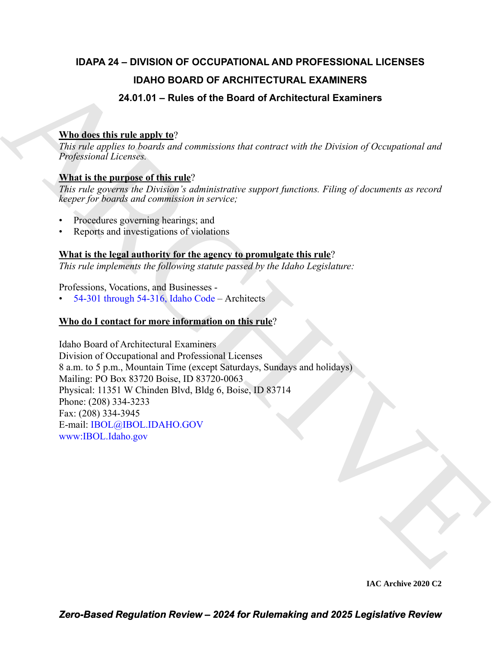# **IDAPA 24 – DIVISION OF OCCUPATIONAL AND PROFESSIONAL LICENSES IDAHO BOARD OF ARCHITECTURAL EXAMINERS 24.01.01 – Rules of the Board of Architectural Examiners**

# **Who does this rule apply to**?

*This rule applies to boards and commissions that contract with the Division of Occupational and Professional Licenses.*

# **What is the purpose of this rule**?

*This rule governs the Division's administrative support functions. Filing of documents as record keeper for boards and commission in service;*

- Procedures governing hearings; and
- Reports and investigations of violations

# **What is the legal authority for the agency to promulgate this rule**?

*This rule implements the following statute passed by the Idaho Legislature:*

Professions, Vocations, and Businesses -

• 54-301 through 54-316, Idaho Code – Architects

# **Who do I contact for more information on this rule**?

**IDAHO BOARD OF AR[CH](https://legislature.idaho.gov/statutesrules/idstat/Title54/T54CH3/)ITECTURAL EXAMINERS**<br>
24.01.01 – Rules of the Board of Architectural Examines<br>
This relation is linear to these the absorption is the content with the Division of Occupational and<br>
Projection is linear Idaho Board of Architectural Examiners Division of Occupational and Professional Licenses 8 a.m. to 5 p.m., Mountain Time (except Saturdays, Sundays and holidays) Mailing: PO Box 83720 Boise, ID 83720-0063 Physical: 11351 W Chinden Blvd, Bldg 6, Boise, ID 83714 Phone: (208) 334-3233 Fax: (208) 334-3945 E-mail: IBOL@IBOL.IDAHO.GOV www:IBOL.Idaho.gov

**IAC Archive 2020 C2**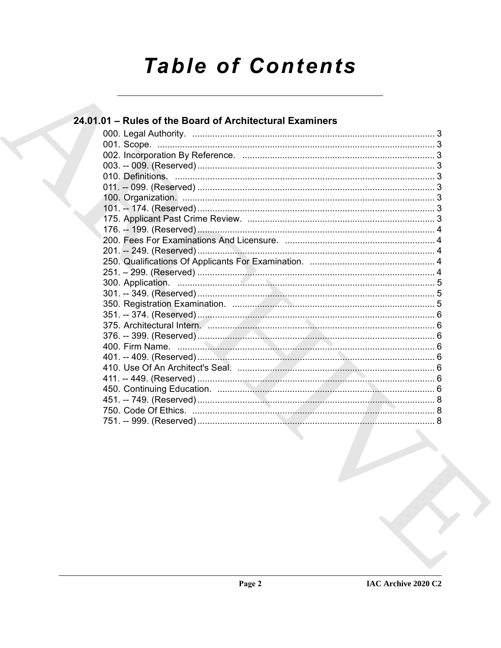# **Table of Contents**

| 24.01.01 - Rules of the Board of Architectural Examiners |  |
|----------------------------------------------------------|--|
|                                                          |  |
|                                                          |  |
|                                                          |  |
|                                                          |  |
|                                                          |  |
|                                                          |  |
|                                                          |  |
|                                                          |  |
|                                                          |  |
|                                                          |  |
|                                                          |  |
|                                                          |  |
|                                                          |  |
|                                                          |  |
|                                                          |  |
|                                                          |  |
|                                                          |  |
|                                                          |  |
|                                                          |  |
|                                                          |  |
|                                                          |  |
|                                                          |  |
|                                                          |  |
|                                                          |  |
|                                                          |  |
|                                                          |  |
|                                                          |  |
|                                                          |  |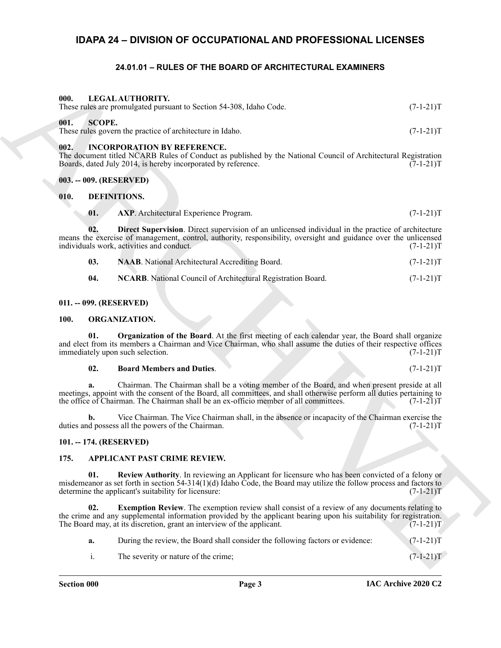# <span id="page-2-0"></span>**IDAPA 24 – DIVISION OF OCCUPATIONAL AND PROFESSIONAL LICENSES**

## <span id="page-2-23"></span><span id="page-2-19"></span>**24.01.01 – RULES OF THE BOARD OF ARCHITECTURAL EXAMINERS**

<span id="page-2-2"></span><span id="page-2-1"></span>

| 000.        |               | LEGAL AUTHORITY.<br>These rules are promulgated pursuant to Section 54-308, Idaho Code.                                                                                                                                                                                                                         | $(7-1-21)T$ |
|-------------|---------------|-----------------------------------------------------------------------------------------------------------------------------------------------------------------------------------------------------------------------------------------------------------------------------------------------------------------|-------------|
| 001.        | <b>SCOPE.</b> | These rules govern the practice of architecture in Idaho.                                                                                                                                                                                                                                                       | $(7-1-21)T$ |
| 002.        |               | <b>INCORPORATION BY REFERENCE.</b><br>The document titled NCARB Rules of Conduct as published by the National Council of Architectural Registration<br>Boards, dated July 2014, is hereby incorporated by reference.                                                                                            | $(7-1-21)T$ |
|             |               | 003. -- 009. (RESERVED)                                                                                                                                                                                                                                                                                         |             |
| 010.        |               | DEFINITIONS.                                                                                                                                                                                                                                                                                                    |             |
|             | 01.           | <b>AXP.</b> Architectural Experience Program.                                                                                                                                                                                                                                                                   | $(7-1-21)T$ |
|             | 02.           | <b>Direct Supervision</b> . Direct supervision of an unlicensed individual in the practice of architecture<br>means the exercise of management, control, authority, responsibility, oversight and guidance over the unlicensed<br>individuals work, activities and conduct.                                     | $(7-1-21)T$ |
|             | 03.           | NAAB. National Architectural Accrediting Board.                                                                                                                                                                                                                                                                 | $(7-1-21)T$ |
|             | 04.           | NCARB. National Council of Architectural Registration Board.                                                                                                                                                                                                                                                    | $(7-1-21)T$ |
|             |               | 011. -- 099. (RESERVED)                                                                                                                                                                                                                                                                                         |             |
| <b>100.</b> |               | ORGANIZATION.                                                                                                                                                                                                                                                                                                   |             |
|             | 01.           | Organization of the Board. At the first meeting of each calendar year, the Board shall organize<br>and elect from its members a Chairman and Vice Chairman, who shall assume the duties of their respective offices<br>immediately upon such selection.                                                         | $(7-1-21)T$ |
|             | 02.           | <b>Board Members and Duties.</b>                                                                                                                                                                                                                                                                                | $(7-1-21)T$ |
|             | a.            | Chairman. The Chairman shall be a voting member of the Board, and when present preside at all<br>meetings, appoint with the consent of the Board, all committees, and shall otherwise perform all duties pertaining to<br>the office of Chairman. The Chairman shall be an ex-officio member of all committees. | $(7-1-21)T$ |
|             | b.            | Vice Chairman. The Vice Chairman shall, in the absence or incapacity of the Chairman exercise the<br>duties and possess all the powers of the Chairman.                                                                                                                                                         | $(7-1-21)T$ |
|             |               | 101. -- 174. (RESERVED)                                                                                                                                                                                                                                                                                         |             |
| 175.        |               | APPLICANT PAST CRIME REVIEW.                                                                                                                                                                                                                                                                                    |             |
|             | 01.           | Review Authority. In reviewing an Applicant for licensure who has been convicted of a felony or<br>misdemeanor as set forth in section $54-314(1)(d)$ Idaho Code, the Board may utilize the follow process and factors to<br>determine the applicant's suitability for licensure:                               | $(7-1-21)T$ |
|             | 02.           | <b>Exemption Review.</b> The exemption review shall consist of a review of any documents relating to<br>the crime and any supplemental information provided by the applicant bearing upon his suitability for registration.<br>The Board may, at its discretion, grant an interview of the applicant.           | $(7-1-21)T$ |
|             | a.            | During the review, the Board shall consider the following factors or evidence:                                                                                                                                                                                                                                  | $(7-1-21)T$ |
|             | i.            | The severity or nature of the crime;                                                                                                                                                                                                                                                                            | $(7-1-21)T$ |
|             |               |                                                                                                                                                                                                                                                                                                                 |             |

## <span id="page-2-18"></span><span id="page-2-14"></span><span id="page-2-13"></span><span id="page-2-5"></span><span id="page-2-4"></span><span id="page-2-3"></span>**010. DEFINITIONS.**

<span id="page-2-16"></span><span id="page-2-15"></span>

| 03. | <b>NAAB.</b> National Architectural Accrediting Board. | $(7-1-21)T$ |
|-----|--------------------------------------------------------|-------------|
|-----|--------------------------------------------------------|-------------|

<span id="page-2-17"></span>

| 04. | <b>NCARB.</b> National Council of Architectural Registration Board. | $(7-1-21)T$ |
|-----|---------------------------------------------------------------------|-------------|
|     |                                                                     |             |

#### <span id="page-2-6"></span>**011. -- 099. (RESERVED)**

#### <span id="page-2-20"></span><span id="page-2-7"></span>**100. ORGANIZATION.**

## <span id="page-2-22"></span><span id="page-2-21"></span>**02. Board Members and Duties**. (7-1-21)T

#### <span id="page-2-10"></span><span id="page-2-8"></span>**101. -- 174. (RESERVED)**

#### <span id="page-2-12"></span><span id="page-2-9"></span>**175. APPLICANT PAST CRIME REVIEW.**

- <span id="page-2-11"></span>**a.** During the review, the Board shall consider the following factors or evidence:  $(7-1-21)T$
- i. The severity or nature of the crime; (7-1-21)T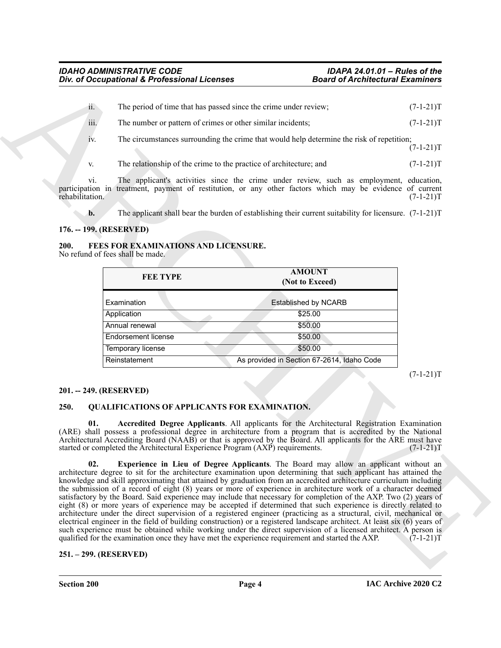| $ii -$ | The period of time that has passed since the crime under review;                          | $(7-1-21)T$ |
|--------|-------------------------------------------------------------------------------------------|-------------|
| iii.   | The number or pattern of crimes or other similar incidents;                               | $(7-1-21)T$ |
| 1V.    | The circumstances surrounding the crime that would help determine the risk of repetition; | $(7-1-21)T$ |
| V.     | The relationship of the crime to the practice of architecture; and                        | $(7-1-21)T$ |

vi. The applicant's activities since the crime under review, such as employment, education, participation in treatment, payment of restitution, or any other factors which may be evidence of current rehabilitation. (7-1-21)T rehabilitation. (7-1-21)T

<span id="page-3-5"></span>**b.** The applicant shall bear the burden of establishing their current suitability for licensure. (7-1-21)T

## <span id="page-3-0"></span>**176. -- 199. (RESERVED)**

<span id="page-3-1"></span>**200. FEES FOR EXAMINATIONS AND LICENSURE.** No refund of fees shall be made.

| FEE TYPE                   | <b>AMOUNT</b><br>(Not to Exceed)           |
|----------------------------|--------------------------------------------|
| Examination                | <b>Established by NCARB</b>                |
| Application                | \$25.00                                    |
| Annual renewal             | \$50.00                                    |
| <b>Endorsement license</b> | \$50.00                                    |
| Temporary license          | \$50.00                                    |
| Reinstatement              | As provided in Section 67-2614, Idaho Code |

 $(7-1-21)T$ 

#### <span id="page-3-2"></span>**201. -- 249. (RESERVED)**

#### <span id="page-3-6"></span><span id="page-3-3"></span>**250. QUALIFICATIONS OF APPLICANTS FOR EXAMINATION.**

<span id="page-3-8"></span><span id="page-3-7"></span>**01. Accredited Degree Applicants**. All applicants for the Architectural Registration Examination (ARE) shall possess a professional degree in architecture from a program that is accredited by the National Architectural Accrediting Board (NAAB) or that is approved by the Board. All applicants for the ARE must have started or completed the Architectural Experience Program (AXP) requirements. (7-1-21) started or completed the Architectural Experience Program (AXP) requirements.

**EVALUATION CONTINUOUS AREA CONTINUOUS CONTINUOUS CONTINUOUS CONTINUOUS CONTINUOUS CONTINUOUS CONTINUOUS CONTINUOUS CONTINUOUS CONTINUOUS CONTINUOUS CONTINUOUS CONTINUOUS CONTINUOUS CONTINUOUS CONTINUOUS CONTINUOUS CONTIN 02. Experience in Lieu of Degree Applicants**. The Board may allow an applicant without an architecture degree to sit for the architecture examination upon determining that such applicant has attained the knowledge and skill approximating that attained by graduation from an accredited architecture curriculum including the submission of a record of eight (8) years or more of experience in architecture work of a character deemed satisfactory by the Board. Said experience may include that necessary for completion of the AXP. Two (2) years of eight (8) or more years of experience may be accepted if determined that such experience is directly related to architecture under the direct supervision of a registered engineer (practicing as a structural, civil, mechanical or electrical engineer in the field of building construction) or a registered landscape architect. At least six (6) years of such experience must be obtained while working under the direct supervision of a licensed architect. A person is qualified for the examination once they have met the experience requirement and started the AXP. (7-1-21)T

#### <span id="page-3-4"></span>**251. – 299. (RESERVED)**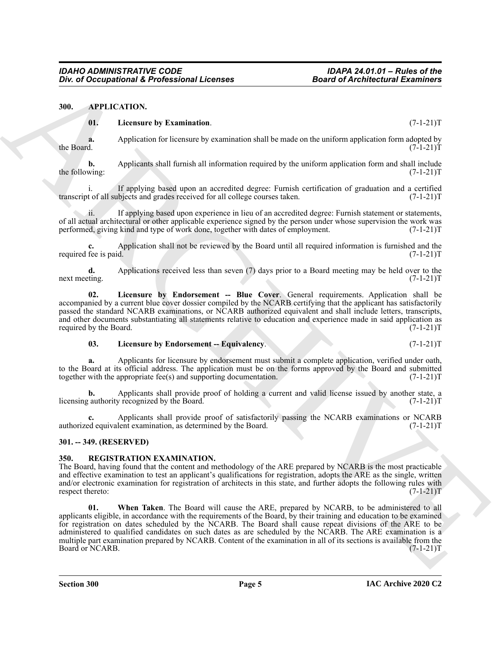#### <span id="page-4-0"></span>**300. APPLICATION.**

#### <span id="page-4-6"></span><span id="page-4-3"></span>**01. Licensure by Examination**. (7-1-21)T

**a.** Application for licensure by examination shall be made on the uniform application form adopted by the Board.  $(7-1-21)T$ the Board. (7-1-21)T

**b.** Applicants shall furnish all information required by the uniform application form and shall include the following:  $(7-1-21)T$ 

i. If applying based upon an accredited degree: Furnish certification of graduation and a certified<br>t of all subjects and grades received for all college courses taken. (7-1-21) transcript of all subjects and grades received for all college courses taken.

ii. If applying based upon experience in lieu of an accredited degree: Furnish statement or statements, of all actual architectural or other applicable experience signed by the person under whose supervision the work was performed, giving kind and type of work done, together with dates of employment. (7-1-21)T performed, giving kind and type of work done, together with dates of employment.

Application shall not be reviewed by the Board until all required information is furnished and the d.<br>(7-1-21)T required fee is paid.

**d.** Applications received less than seven (7) days prior to a Board meeting may be held over to the next meeting. (7-1-21)T next meeting. (7-1-21)T

<span id="page-4-4"></span>**02. Licensure by Endorsement -- Blue Cover**. General requirements. Application shall be accompanied by a current blue cover dossier compiled by the NCARB certifying that the applicant has satisfactorily passed the standard NCARB examinations, or NCARB authorized equivalent and shall include letters, transcripts, and other documents substantiating all statements relative to education and experience made in said application as required by the Board. (7-1-21)T

#### <span id="page-4-5"></span>**03.** Licensure by Endorsement -- Equivalency. (7-1-21)T

**a.** Applicants for licensure by endorsement must submit a complete application, verified under oath, to the Board at its official address. The application must be on the forms approved by the Board and submitted together with the appropriate fee(s) and supporting documentation. (7-1-21) together with the appropriate fee $(s)$  and supporting documentation.

**b.** Applicants shall provide proof of holding a current and valid license issued by another state, a authority recognized by the Board.  $(7-1-21)T$ licensing authority recognized by the Board.

Applicants shall provide proof of satisfactorily passing the NCARB examinations or NCARB lent examination, as determined by the Board. (7-1-21)<sup>T</sup> authorized equivalent examination, as determined by the Board.

#### <span id="page-4-1"></span>**301. -- 349. (RESERVED)**

#### <span id="page-4-7"></span><span id="page-4-2"></span>**350. REGISTRATION EXAMINATION.**

<span id="page-4-8"></span>The Board, having found that the content and methodology of the ARE prepared by NCARB is the most practicable and effective examination to test an applicant's qualifications for registration, adopts the ARE as the single, written and/or electronic examination for registration of architects in this state, and further adopts the following rules with respect thereto: (7-1-21)T

One of Occupational K. Professional Licenses<br>
M. Application Chemistry Results and the material of Architectural Examples of Architectural Scientifics<br>
Architectural to Leading the state of the state of the state of the s **01. When Taken**. The Board will cause the ARE, prepared by NCARB, to be administered to all applicants eligible, in accordance with the requirements of the Board, by their training and education to be examined for registration on dates scheduled by the NCARB. The Board shall cause repeat divisions of the ARE to be administered to qualified candidates on such dates as are scheduled by the NCARB. The ARE examination is a multiple part examination prepared by NCARB. Content of the examination in all of its sections is available from the Board or NCARB. Board or NCARB.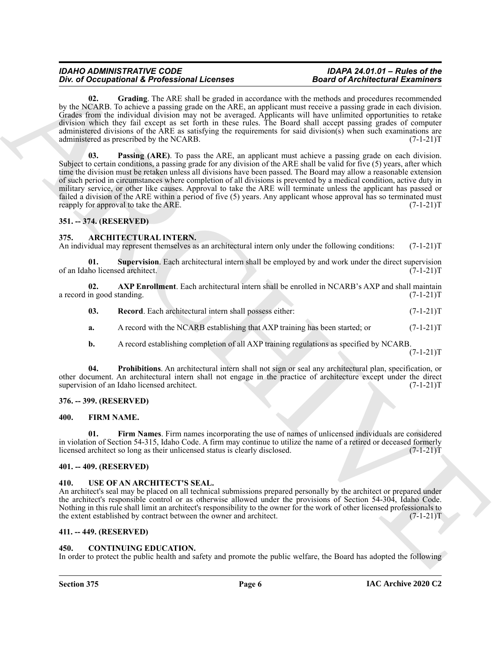#### *IDAHO ADMINISTRATIVE CODE IDAPA 24.01.01 – Rules of the* **Div. of Occupational & Professional Licenses**

<span id="page-5-17"></span><span id="page-5-16"></span>**02. Grading**. The ARE shall be graded in accordance with the methods and procedures recommended by the NCARB. To achieve a passing grade on the ARE, an applicant must receive a passing grade in each division. Grades from the individual division may not be averaged. Applicants will have unlimited opportunities to retake division which they fail except as set forth in these rules. The Board shall accept passing grades of computer administered divisions of the ARE as satisfying the requirements for said division(s) when such examinations are administered as prescribed by the NCARB. (7-1-21)T

For  $\theta$  DCR, Decreasion of Every also the same of Architecture of Architecture in the same of the same of Architecture in the same of Architecture in the same of the same of the same of the same of the same of the same o **03. Passing (ARE)**. To pass the ARE, an applicant must achieve a passing grade on each division. Subject to certain conditions, a passing grade for any division of the ARE shall be valid for five (5) years, after which time the division must be retaken unless all divisions have been passed. The Board may allow a reasonable extension of such period in circumstances where completion of all divisions is prevented by a medical condition, active duty in military service, or other like causes. Approval to take the ARE will terminate unless the applicant has passed or failed a division of the ARE within a period of five (5) years. Any applicant whose approval has so terminated must reapply for approval to take the ARE.  $(7-1-21)T$ 

#### <span id="page-5-0"></span>**351. -- 374. (RESERVED)**

#### <span id="page-5-8"></span><span id="page-5-1"></span>**375. ARCHITECTURAL INTERN.**

An individual may represent themselves as an architectural intern only under the following conditions: (7-1-21)T

<span id="page-5-12"></span>**01.** Supervision. Each architectural intern shall be employed by and work under the direct supervision ho licensed architect. (7-1-21) of an Idaho licensed architect.

| -02.                       |  |  | <b>AXP Enrollment.</b> Each architectural intern shall be enrolled in NCARB's AXP and shall maintain |
|----------------------------|--|--|------------------------------------------------------------------------------------------------------|
| a record in good standing. |  |  | $(7-1-21)T$                                                                                          |

<span id="page-5-11"></span><span id="page-5-9"></span>

| 03. |  | <b>Record.</b> Each architectural intern shall possess either: |  | $(7-1-21)T$ |
|-----|--|----------------------------------------------------------------|--|-------------|
|-----|--|----------------------------------------------------------------|--|-------------|

- **a.** A record with the NCARB establishing that AXP training has been started; or  $(7-1-21)$ T
- <span id="page-5-10"></span>**b.** A record establishing completion of all AXP training regulations as specified by NCARB.  $(7-1-21)T$

**04. Prohibitions**. An architectural intern shall not sign or seal any architectural plan, specification, or other document. An architectural intern shall not engage in the practice of architecture except under the direct supervision of an Idaho licensed architect. (7-1-21)T

#### <span id="page-5-2"></span>**376. -- 399. (RESERVED)**

#### <span id="page-5-15"></span><span id="page-5-14"></span><span id="page-5-3"></span>**400. FIRM NAME.**

**01. Firm Names**. Firm names incorporating the use of names of unlicensed individuals are considered in violation of Section 54-315, Idaho Code. A firm may continue to utilize the name of a retired or deceased formerly licensed architect so long as their unlicensed status is clearly disclosed. (7-1-21) licensed architect so long as their unlicensed status is clearly disclosed.

#### <span id="page-5-4"></span>**401. -- 409. (RESERVED)**

#### <span id="page-5-18"></span><span id="page-5-5"></span>**410. USE OF AN ARCHITECT'S SEAL.**

An architect's seal may be placed on all technical submissions prepared personally by the architect or prepared under the architect's responsible control or as otherwise allowed under the provisions of Section 54-304, Idaho Code. Nothing in this rule shall limit an architect's responsibility to the owner for the work of other licensed professionals to the extent established by contract between the owner and architect. (7-1-21)T

#### <span id="page-5-6"></span>**411. -- 449. (RESERVED)**

#### <span id="page-5-13"></span><span id="page-5-7"></span>**450. CONTINUING EDUCATION.**

In order to protect the public health and safety and promote the public welfare, the Board has adopted the following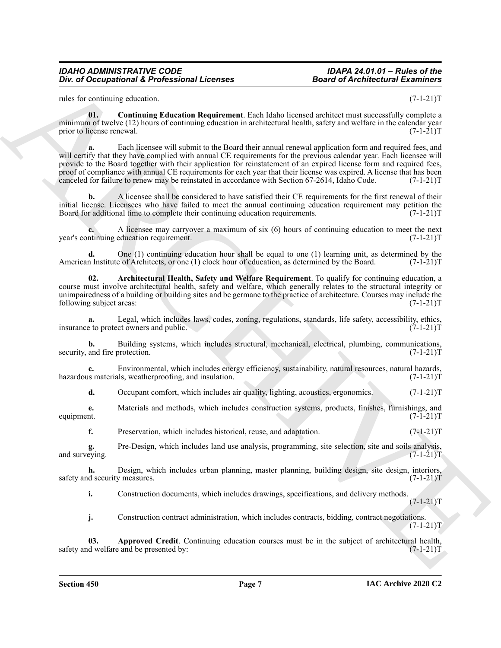#### *IDAHO ADMINISTRATIVE CODE IDAPA 24.01.01 – Rules of the* **Div. of Occupational & Professional Licenses**

<span id="page-6-2"></span>rules for continuing education. (7-1-21) T

**01. Continuing Education Requirement**. Each Idaho licensed architect must successfully complete a minimum of twelve (12) hours of continuing education in architectural health, safety and welfare in the calendar year prior to license renewal. (7-1-21) T

One of Occupational K. Professional Licenses<br>
Also of d Architectural Examples<br>
This is consistent and the continued of the continued of Architectural Examples<br>
This is consistent to continue the continued of the continue **a.** Each licensee will submit to the Board their annual renewal application form and required fees, and will certify that they have complied with annual CE requirements for the previous calendar year. Each licensee will provide to the Board together with their application for reinstatement of an expired license form and required fees, proof of compliance with annual CE requirements for each year that their license was expired. A license that has been canceled for failure to renew may be reinstated in accordance with Section 67-2614, Idaho Code. (7-1-21)T

**b.** A licensee shall be considered to have satisfied their CE requirements for the first renewal of their initial license. Licensees who have failed to meet the annual continuing education requirement may petition the Board for additional time to complete their continuing education requirements.  $(7-1-21)$ T

**c.** A licensee may carryover a maximum of six (6) hours of continuing education to meet the next intimuing education requirement. (7-1-21) year's continuing education requirement.

**d.** One (1) continuing education hour shall be equal to one (1) learning unit, as determined by the hoard. (7-1-21) $T$ American Institute of Architects, or one (1) clock hour of education, as determined by the Board.

<span id="page-6-1"></span>**02. Architectural Health, Safety and Welfare Requirement**. To qualify for continuing education, a course must involve architectural health, safety and welfare, which generally relates to the structural integrity or unimpairedness of a building or building sites and be germane to the practice of architecture. Courses may include the following subject areas: (7-1-21)T following subject areas:

**a.** Legal, which includes laws, codes, zoning, regulations, standards, life safety, accessibility, ethics, e to protect owners and public. (7-1-21)T insurance to protect owners and public.

**b.** Building systems, which includes structural, mechanical, electrical, plumbing, communications, and fire protection. (7-1-21)T security, and fire protection.

**c.** Environmental, which includes energy efficiency, sustainability, natural resources, natural hazards, is materials, weatherproofing, and insulation. (7-1-21) hazardous materials, weatherproofing, and insulation.

**d.** Occupant comfort, which includes air quality, lighting, acoustics, ergonomics.  $(7-1-21)$ T

**e.** Materials and methods, which includes construction systems, products, finishes, furnishings, and equipment.  $(7-1-21)T$ equipment.  $(7-1-21)T$ 

**f.** Preservation, which includes historical, reuse, and adaptation. (7-1-21)T

**g.** Pre-Design, which includes land use analysis, programming, site selection, site and soils analysis, eying.  $(7-1-21)$ T and surveying.

**h.** Design, which includes urban planning, master planning, building design, site design, interiors, d security measures.  $(7-1-21)T$ safety and security measures.

**i.** Construction documents, which includes drawings, specifications, and delivery methods.

 $(7-1-21)T$ 

<span id="page-6-0"></span>**j.** Construction contract administration, which includes contracts, bidding, contract negotiations.  $(7-1-21)T$ 

**03.** Approved Credit. Continuing education courses must be in the subject of architectural health, d welfare and be presented by:  $(7-1-21)T$ safety and welfare and be presented by: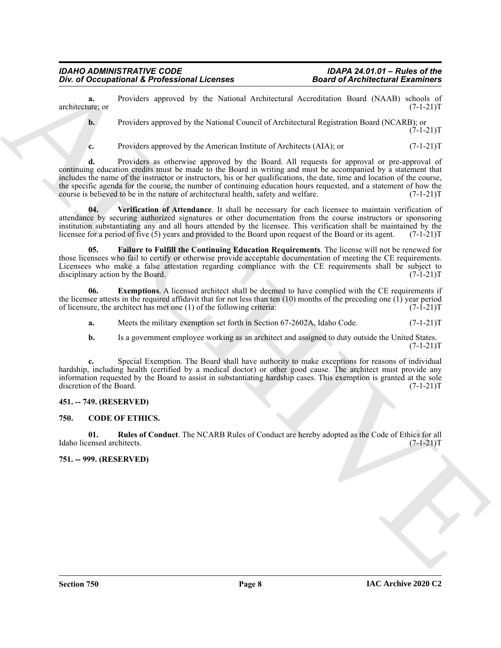**a.** Providers approved by the National Architectural Accreditation Board (NAAB) schools of ure; or (7-1-21)T architecture; or

**b.** Providers approved by the National Council of Architectural Registration Board (NCARB); or  $(7-1-21)T$ 

**c.** Providers approved by the American Institute of Architects (AIA); or  $(7-1-21)$ T

One of Occupational K. Professional Licenses<br>
and A Architectural Examples Consider a procedure and the system of the South Architectural According Book (NAD)  $\tau$  (1911)<br>
Let  $\tau$  (2018)  $\tau$  (2018)  $\tau$  (2018)  $\tau$  (201 **d.** Providers as otherwise approved by the Board. All requests for approval or pre-approval of continuing education credits must be made to the Board in writing and must be accompanied by a statement that includes the name of the instructor or instructors, his or her qualifications, the date, time and location of the course, the specific agenda for the course, the number of continuing education hours requested, and a statement of how the course is believed to be in the nature of architectural health, safety and welfare. (7-1-21)T

<span id="page-7-7"></span>**04. Verification of Attendance**. It shall be necessary for each licensee to maintain verification of attendance by securing authorized signatures or other documentation from the course instructors or sponsoring institution substantiating any and all hours attended by the licensee. This verification shall be maintained by the licensee for a period of five  $(5)$  years and provided to the Board upon request of the Board or its agent.  $(7-1-21)$ T

<span id="page-7-6"></span>**05. Failure to Fulfill the Continuing Education Requirements**. The license will not be renewed for those licensees who fail to certify or otherwise provide acceptable documentation of meeting the CE requirements. Licensees who make a false attestation regarding compliance with the CE requirements shall be subject to disciplinary action by the Board.  $(7-1-21)T$ disciplinary action by the Board.

**06. Exemptions**. A licensed architect shall be deemed to have complied with the CE requirements if the licensee attests in the required affidavit that for not less than ten (10) months of the preceding one (1) year period of licensure, the architect has met one (1) of the following criteria:  $(7-1-21)T$ of licensure, the architect has met one  $(1)$  of the following criteria:

- <span id="page-7-5"></span>**a.** Meets the military exemption set forth in Section 67-2602A, Idaho Code.  $(7-1-21)$ T
- **b.** Is a government employee working as an architect and assigned to duty outside the United States.  $(7-1-21)T$

**c.** Special Exemption. The Board shall have authority to make exceptions for reasons of individual hardship, including health (certified by a medical doctor) or other good cause. The architect must provide any information requested by the Board to assist in substantiating hardship cases. This exemption is granted at the sole discretion of the Board. (7-1-21)T

### <span id="page-7-0"></span>**451. -- 749. (RESERVED)**

#### <span id="page-7-3"></span><span id="page-7-1"></span>**750. CODE OF ETHICS.**

<span id="page-7-4"></span>**01.** Rules of Conduct. The NCARB Rules of Conduct are hereby adopted as the Code of Ethics for all ensed architects. (7-1-21)T Idaho licensed architects.

<span id="page-7-2"></span>**751. -- 999. (RESERVED)**